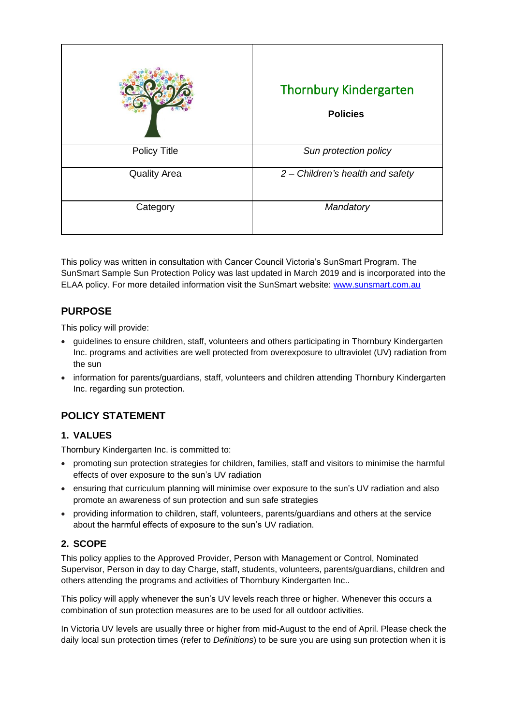|                     | <b>Thornbury Kindergarten</b><br><b>Policies</b> |
|---------------------|--------------------------------------------------|
| <b>Policy Title</b> | Sun protection policy                            |
| <b>Quality Area</b> | 2 - Children's health and safety                 |
| Category            | Mandatory                                        |

This policy was written in consultation with Cancer Council Victoria's SunSmart Program. The SunSmart Sample Sun Protection Policy was last updated in March 2019 and is incorporated into the ELAA policy. For more detailed information visit the SunSmart website: [www.sunsmart.com.au](http://www.sunsmart.com.au/)

## **PURPOSE**

This policy will provide:

- guidelines to ensure children, staff, volunteers and others participating in Thornbury Kindergarten Inc. programs and activities are well protected from overexposure to ultraviolet (UV) radiation from the sun
- information for parents/guardians, staff, volunteers and children attending Thornbury Kindergarten Inc. regarding sun protection.

# **POLICY STATEMENT**

### **1. VALUES**

Thornbury Kindergarten Inc. is committed to:

- promoting sun protection strategies for children, families, staff and visitors to minimise the harmful effects of over exposure to the sun's UV radiation
- ensuring that curriculum planning will minimise over exposure to the sun's UV radiation and also promote an awareness of sun protection and sun safe strategies
- providing information to children, staff, volunteers, parents/guardians and others at the service about the harmful effects of exposure to the sun's UV radiation.

### **2. SCOPE**

This policy applies to the Approved Provider, Person with Management or Control, Nominated Supervisor, Person in day to day Charge, staff, students, volunteers, parents/guardians, children and others attending the programs and activities of Thornbury Kindergarten Inc..

This policy will apply whenever the sun's UV levels reach three or higher. Whenever this occurs a combination of sun protection measures are to be used for all outdoor activities.

In Victoria UV levels are usually three or higher from mid-August to the end of April. Please check the daily local sun protection times (refer to *Definitions*) to be sure you are using sun protection when it is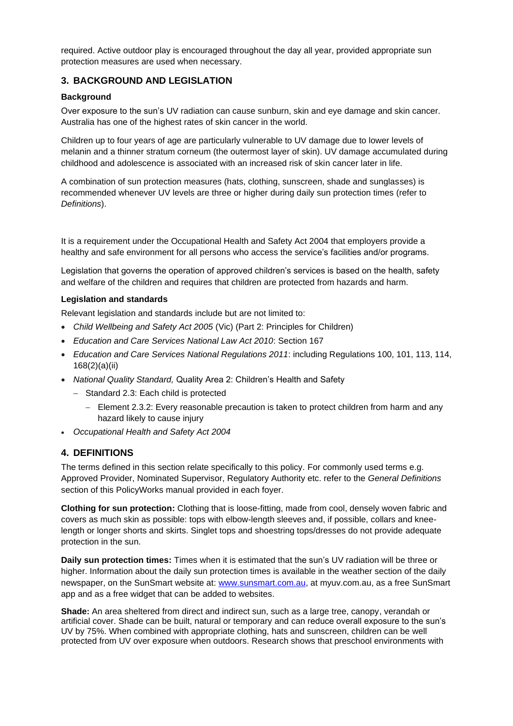required. Active outdoor play is encouraged throughout the day all year, provided appropriate sun protection measures are used when necessary.

### **3. BACKGROUND AND LEGISLATION**

### **Background**

Over exposure to the sun's UV radiation can cause sunburn, skin and eye damage and skin cancer. Australia has one of the highest rates of skin cancer in the world.

Children up to four years of age are particularly vulnerable to UV damage due to lower levels of melanin and a thinner stratum corneum (the outermost layer of skin). UV damage accumulated during childhood and adolescence is associated with an increased risk of skin cancer later in life.

A combination of sun protection measures (hats, clothing, sunscreen, shade and sunglasses) is recommended whenever UV levels are three or higher during daily sun protection times (refer to *Definitions*).

It is a requirement under the Occupational Health and Safety Act 2004 that employers provide a healthy and safe environment for all persons who access the service's facilities and/or programs.

Legislation that governs the operation of approved children's services is based on the health, safety and welfare of the children and requires that children are protected from hazards and harm.

#### **Legislation and standards**

Relevant legislation and standards include but are not limited to:

- *Child Wellbeing and Safety Act 2005* (Vic) (Part 2: Principles for Children)
- *Education and Care Services National Law Act 2010*: Section 167
- *Education and Care Services National Regulations 2011*: including Regulations 100, 101, 113, 114, 168(2)(a)(ii)
- *National Quality Standard,* Quality Area 2: Children's Health and Safety
	- − Standard 2.3: Each child is protected
		- − Element 2.3.2: Every reasonable precaution is taken to protect children from harm and any hazard likely to cause injury
- *Occupational Health and Safety Act 2004*

### **4. DEFINITIONS**

The terms defined in this section relate specifically to this policy. For commonly used terms e.g. Approved Provider, Nominated Supervisor, Regulatory Authority etc. refer to the *General Definitions* section of this PolicyWorks manual provided in each foyer.

**Clothing for sun protection:** Clothing that is loose-fitting, made from cool, densely woven fabric and covers as much skin as possible: tops with elbow-length sleeves and, if possible, collars and kneelength or longer shorts and skirts. Singlet tops and shoestring tops/dresses do not provide adequate protection in the sun.

**Daily sun protection times:** Times when it is estimated that the sun's UV radiation will be three or higher. Information about the daily sun protection times is available in the weather section of the daily newspaper, on the SunSmart website at: [www.sunsmart.com.au,](http://www.sunsmart.com.au/) at myuv.com.au, as a free SunSmart app and as a free widget that can be added to websites.

**Shade:** An area sheltered from direct and indirect sun, such as a large tree, canopy, verandah or artificial cover. Shade can be built, natural or temporary and can reduce overall exposure to the sun's UV by 75%. When combined with appropriate clothing, hats and sunscreen, children can be well protected from UV over exposure when outdoors. Research shows that preschool environments with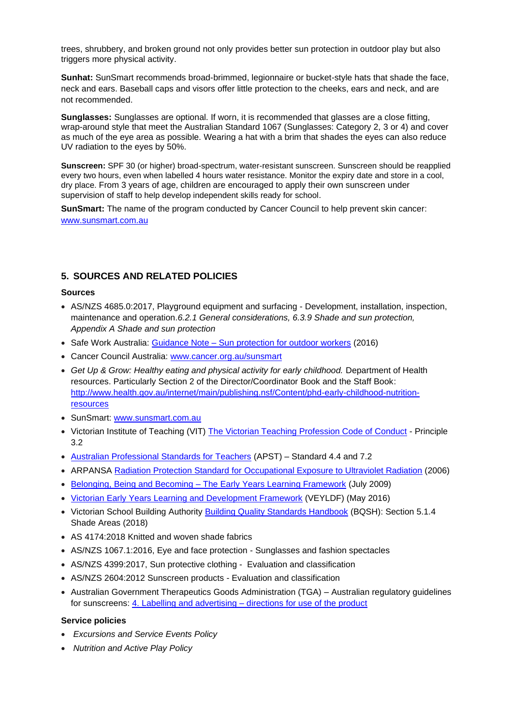trees, shrubbery, and broken ground not only provides better sun protection in outdoor play but also triggers more physical activity.

**Sunhat:** SunSmart recommends broad-brimmed, legionnaire or bucket-style hats that shade the face, neck and ears. Baseball caps and visors offer little protection to the cheeks, ears and neck, and are not recommended.

**Sunglasses:** Sunglasses are optional. If worn, it is recommended that glasses are a close fitting, wrap-around style that meet the Australian Standard 1067 (Sunglasses: Category 2, 3 or 4) and cover as much of the eye area as possible. Wearing a hat with a brim that shades the eyes can also reduce UV radiation to the eyes by 50%.

**Sunscreen:** SPF 30 (or higher) broad-spectrum, water-resistant sunscreen. Sunscreen should be reapplied every two hours, even when labelled 4 hours water resistance. Monitor the expiry date and store in a cool, dry place. From 3 years of age, children are encouraged to apply their own sunscreen under supervision of staff to help develop independent skills ready for school.

**SunSmart:** The name of the program conducted by Cancer Council to help prevent skin cancer: [www.sunsmart.com.au](http://www.sunsmart.com.au/)

### **5. SOURCES AND RELATED POLICIES**

#### **Sources**

- AS/NZS 4685.0:2017, Playground equipment and surfacing Development, installation, inspection, maintenance and operation.*6.2.1 General considerations, 6.3.9 Shade and sun protection, Appendix A Shade and sun protection*
- Safe Work Australia: Guidance Note [Sun protection for outdoor workers](https://www.worksafe.vic.gov.au/__data/assets/pdf_file/0012/198687/WorkSafe_WSV17410108.16_FactSheet_final.pdf) (2016)
- Cancer Council Australia: [www.cancer.org.au/sunsmart](http://www.cancer.org.au/sunsmart)
- Get Up & Grow: Healthy eating and physical activity for early childhood. Department of Health resources. Particularly Section 2 of the Director/Coordinator Book and the Staff Book: [http://www.health.gov.au/internet/main/publishing.nsf/Content/phd-early-childhood-nutrition](http://www.health.gov.au/internet/main/publishing.nsf/Content/phd-early-childhood-nutrition-resources)[resources](http://www.health.gov.au/internet/main/publishing.nsf/Content/phd-early-childhood-nutrition-resources)
- SunSmart: [www.sunsmart.com.au](http://www.sunsmart.com.au/)
- Victorian Institute of Teaching (VIT) [The Victorian Teaching Profession Code of Conduct](http://www.vit.vic.edu.au/__data/assets/pdf_file/0018/35604/Code-of-Conduct-2016.pdf) Principle 3.2
- [Australian Professional Standards for Teachers](http://www.vit.vic.edu.au/__data/assets/pdf_file/0005/38678/Opportunities-for-demonstrating-the-APST-through-Inquiry-approach.pdf) (APST) Standard 4.4 and 7.2
- ARPANSA [Radiation Protection Standard for Occupational Exposure to Ultraviolet Radiation](http://www.arpansa.gov.au/pubs/rps/rps12.pdf) (2006)
- Belonging, Being and Becoming [The Early Years Learning Framework](https://www.education.gov.au/early-years-learning-framework) (July 2009)
- [Victorian Early Years Learning and Development Framework](http://www.education.vic.gov.au/childhood/providers/edcare/pages/veyladf.aspx?Redirect=1) (VEYLDF) (May 2016)
- Victorian School Building Authority [Building Quality Standards Handbook](https://www.education.vic.gov.au/Documents/school/principals/infrastructure/BuildingQualStandHdbk%202018.pdf) (BQSH): Section 5.1.4 Shade Areas (2018)
- AS 4174:2018 Knitted and woven shade fabrics
- AS/NZS 1067.1:2016, Eye and face protection Sunglasses and fashion spectacles
- AS/NZS 4399:2017, Sun protective clothing Evaluation and classification
- AS/NZS 2604:2012 Sunscreen products Evaluation and classification
- Australian Government Therapeutics Goods Administration (TGA) Australian regulatory guidelines for sunscreens: 4. Labelling and advertising – [directions for use of the product](https://www.tga.gov.au/book/4-labelling-and-advertising)

#### **Service policies**

- *Excursions and Service Events Policy*
- *Nutrition and Active Play Policy*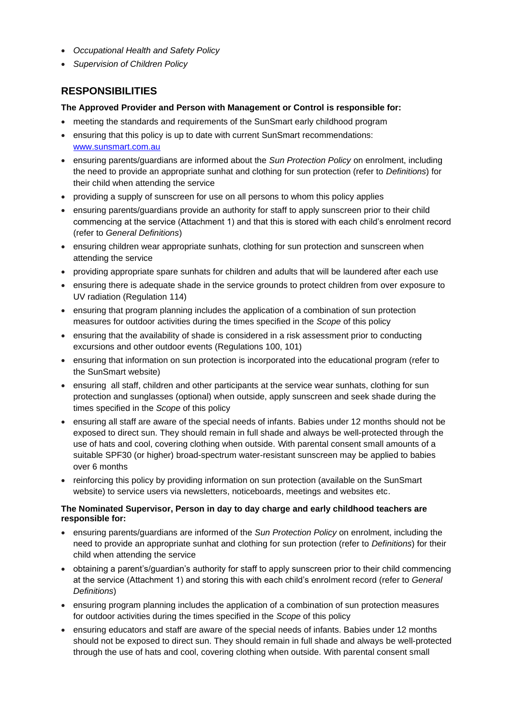- *Occupational Health and Safety Policy*
- *Supervision of Children Policy*

# **RESPONSIBILITIES**

### **The Approved Provider and Person with Management or Control is responsible for:**

- meeting the standards and requirements of the SunSmart early childhood program
- ensuring that this policy is up to date with current SunSmart recommendations: [www.sunsmart.com.au](http://www.sunsmart.com.au/)
- ensuring parents/guardians are informed about the *Sun Protection Policy* on enrolment, including the need to provide an appropriate sunhat and clothing for sun protection (refer to *Definitions*) for their child when attending the service
- providing a supply of sunscreen for use on all persons to whom this policy applies
- ensuring parents/guardians provide an authority for staff to apply sunscreen prior to their child commencing at the service (Attachment 1) and that this is stored with each child's enrolment record (refer to *General Definitions*)
- ensuring children wear appropriate sunhats, clothing for sun protection and sunscreen when attending the service
- providing appropriate spare sunhats for children and adults that will be laundered after each use
- ensuring there is adequate shade in the service grounds to protect children from over exposure to UV radiation (Regulation 114)
- ensuring that program planning includes the application of a combination of sun protection measures for outdoor activities during the times specified in the *Scope* of this policy
- ensuring that the availability of shade is considered in a risk assessment prior to conducting excursions and other outdoor events (Regulations 100, 101)
- ensuring that information on sun protection is incorporated into the educational program (refer to the SunSmart website)
- ensuring all staff, children and other participants at the service wear sunhats, clothing for sun protection and sunglasses (optional) when outside, apply sunscreen and seek shade during the times specified in the *Scope* of this policy
- ensuring all staff are aware of the special needs of infants. Babies under 12 months should not be exposed to direct sun. They should remain in full shade and always be well-protected through the use of hats and cool, covering clothing when outside. With parental consent small amounts of a suitable SPF30 (or higher) broad-spectrum water-resistant sunscreen may be applied to babies over 6 months
- reinforcing this policy by providing information on sun protection (available on the SunSmart website) to service users via newsletters, noticeboards, meetings and websites etc.

### **The Nominated Supervisor, Person in day to day charge and early childhood teachers are responsible for:**

- ensuring parents/guardians are informed of the *Sun Protection Policy* on enrolment, including the need to provide an appropriate sunhat and clothing for sun protection (refer to *Definitions*) for their child when attending the service
- obtaining a parent's/guardian's authority for staff to apply sunscreen prior to their child commencing at the service (Attachment 1) and storing this with each child's enrolment record (refer to *General Definitions*)
- ensuring program planning includes the application of a combination of sun protection measures for outdoor activities during the times specified in the *Scope* of this policy
- ensuring educators and staff are aware of the special needs of infants. Babies under 12 months should not be exposed to direct sun. They should remain in full shade and always be well-protected through the use of hats and cool, covering clothing when outside. With parental consent small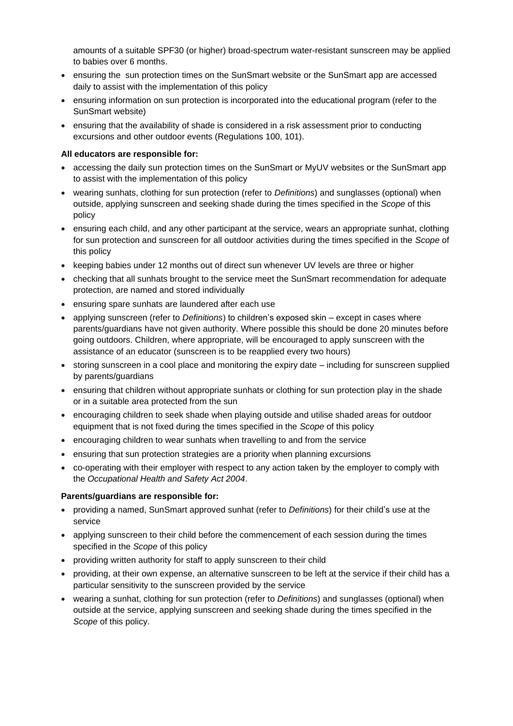amounts of a suitable SPF30 (or higher) broad-spectrum water-resistant sunscreen may be applied to babies over 6 months.

- ensuring the sun protection times on the SunSmart website or the SunSmart app are accessed daily to assist with the implementation of this policy
- ensuring information on sun protection is incorporated into the educational program (refer to the SunSmart website)
- ensuring that the availability of shade is considered in a risk assessment prior to conducting excursions and other outdoor events (Regulations 100, 101).

#### **All educators are responsible for:**

- accessing the daily sun protection times on the SunSmart or MyUV websites or the SunSmart app to assist with the implementation of this policy
- wearing sunhats, clothing for sun protection (refer to *Definitions*) and sunglasses (optional) when outside, applying sunscreen and seeking shade during the times specified in the *Scope* of this policy
- ensuring each child, and any other participant at the service, wears an appropriate sunhat, clothing for sun protection and sunscreen for all outdoor activities during the times specified in the *Scope* of this policy
- keeping babies under 12 months out of direct sun whenever UV levels are three or higher
- checking that all sunhats brought to the service meet the SunSmart recommendation for adequate protection, are named and stored individually
- ensuring spare sunhats are laundered after each use
- applying sunscreen (refer to *Definitions*) to children's exposed skin except in cases where parents/guardians have not given authority. Where possible this should be done 20 minutes before going outdoors. Children, where appropriate, will be encouraged to apply sunscreen with the assistance of an educator (sunscreen is to be reapplied every two hours)
- storing sunscreen in a cool place and monitoring the expiry date including for sunscreen supplied by parents/guardians
- ensuring that children without appropriate sunhats or clothing for sun protection play in the shade or in a suitable area protected from the sun
- encouraging children to seek shade when playing outside and utilise shaded areas for outdoor equipment that is not fixed during the times specified in the *Scope* of this policy
- encouraging children to wear sunhats when travelling to and from the service
- ensuring that sun protection strategies are a priority when planning excursions
- co-operating with their employer with respect to any action taken by the employer to comply with the *Occupational Health and Safety Act 2004*.

#### **Parents/guardians are responsible for:**

- providing a named, SunSmart approved sunhat (refer to *Definitions*) for their child's use at the service
- applying sunscreen to their child before the commencement of each session during the times specified in the *Scope* of this policy
- providing written authority for staff to apply sunscreen to their child
- providing, at their own expense, an alternative sunscreen to be left at the service if their child has a particular sensitivity to the sunscreen provided by the service
- wearing a sunhat, clothing for sun protection (refer to *Definitions*) and sunglasses (optional) when outside at the service, applying sunscreen and seeking shade during the times specified in the *Scope* of this policy.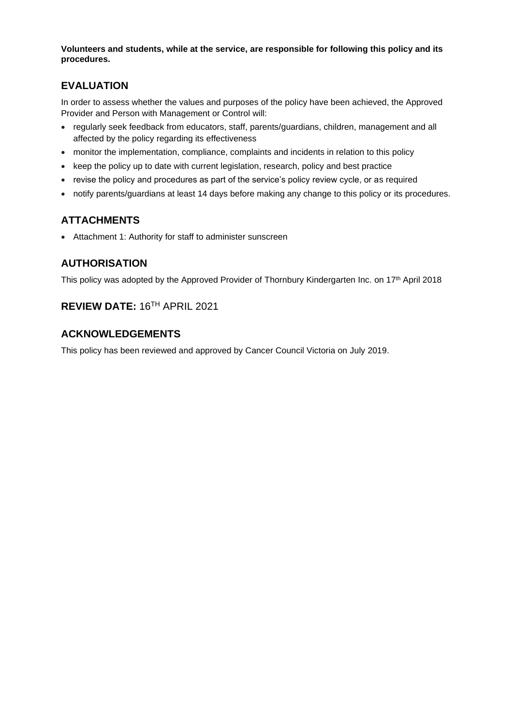**Volunteers and students, while at the service, are responsible for following this policy and its procedures.**

# **EVALUATION**

In order to assess whether the values and purposes of the policy have been achieved, the Approved Provider and Person with Management or Control will:

- regularly seek feedback from educators, staff, parents/guardians, children, management and all affected by the policy regarding its effectiveness
- monitor the implementation, compliance, complaints and incidents in relation to this policy
- keep the policy up to date with current legislation, research, policy and best practice
- revise the policy and procedures as part of the service's policy review cycle, or as required
- notify parents/guardians at least 14 days before making any change to this policy or its procedures.

# **ATTACHMENTS**

• Attachment 1: Authority for staff to administer sunscreen

## **AUTHORISATION**

This policy was adopted by the Approved Provider of Thornbury Kindergarten Inc. on 17<sup>th</sup> April 2018

# **REVIEW DATE:** 16TH APRIL 2021

## **ACKNOWLEDGEMENTS**

This policy has been reviewed and approved by Cancer Council Victoria on July 2019.